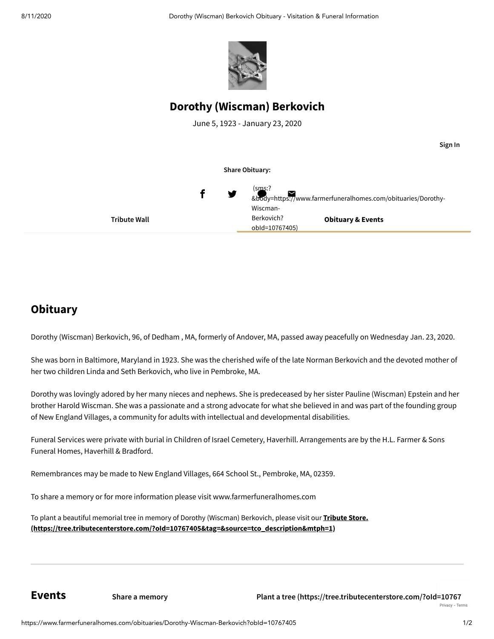

# **Dorothy (Wiscman) Berkovich**

June 5, 1923 - January 23, 2020

**Tribute Wall Obituary & Events Share Obituary:** f (sms:? [&body=https://www.farmerfuneralhomes.com/obituaries/Dorothy-](sms:?&body=https://www.farmerfuneralhomes.com/obituaries/Dorothy-Wiscman-Berkovich?obId=10767405) Wiscman-Berkovich? obId=10767405)

# **Obituary**

Dorothy (Wiscman) Berkovich, 96, of Dedham , MA, formerly of Andover, MA, passed away peacefully on Wednesday Jan. 23, 2020.

She was born in Baltimore, Maryland in 1923. She was the cherished wife of the late Norman Berkovich and the devoted mother of her two children Linda and Seth Berkovich, who live in Pembroke, MA.

Dorothy was lovingly adored by her many nieces and nephews. She is predeceased by her sister Pauline (Wiscman) Epstein and her brother Harold Wiscman. She was a passionate and a strong advocate for what she believed in and was part of the founding group of New England Villages, a community for adults with intellectual and developmental disabilities.

Funeral Services were private with burial in Children of Israel Cemetery, Haverhill. Arrangements are by the H.L. Farmer & Sons Funeral Homes, Haverhill & Bradford.

Remembrances may be made to New England Villages, 664 School St., Pembroke, MA, 02359.

To share a memory or for more information please visit www.farmerfuneralhomes.com

To plant a beautiful memorial tree in memory of Dorothy (Wiscman) Berkovich, please visit our **Tribute Store. [\(https://tree.tributecenterstore.com/?oId=10767405&tag=&source=tco\\_description&mtph=1\)](https://tree.tributecenterstore.com/?oId=10767405&tag=&source=tco_description&mtph=1)**

**Events**

**Sign In**